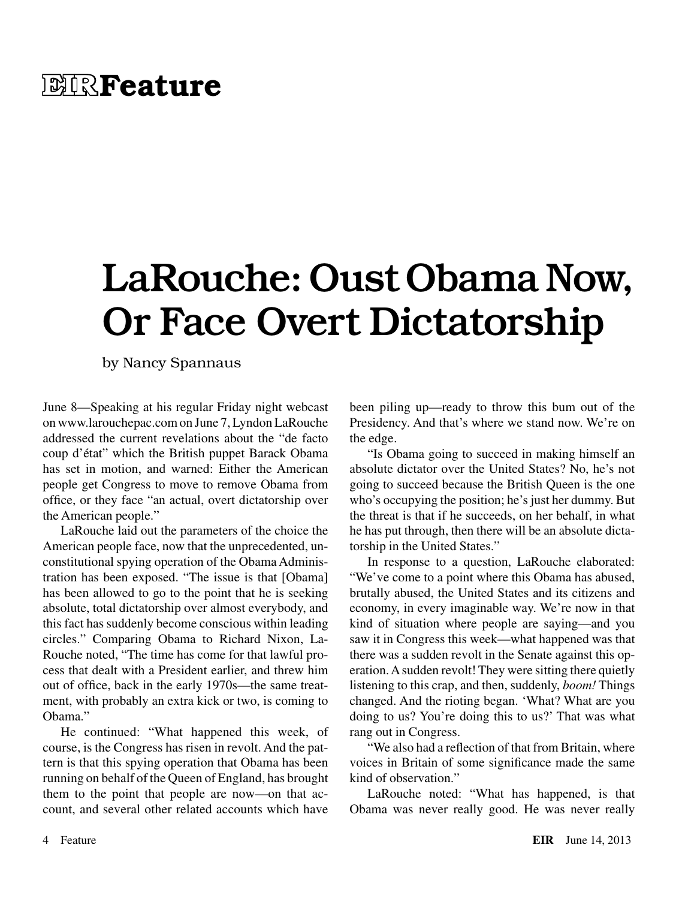## **EIRFeature**

# LaRouche: Oust Obama Now, Or Face Overt Dictatorship

by Nancy Spannaus

June 8—Speaking at his regular Friday night webcast on www.larouchepac.com on June 7, Lyndon LaRouche addressed the current revelations about the "de facto coup d'état" which the British puppet Barack Obama has set in motion, and warned: Either the American people get Congress to move to remove Obama from office, or they face "an actual, overt dictatorship over the American people."

LaRouche laid out the parameters of the choice the American people face, now that the unprecedented, unconstitutional spying operation of the Obama Administration has been exposed. "The issue is that [Obama] has been allowed to go to the point that he is seeking absolute, total dictatorship over almost everybody, and this fact has suddenly become conscious within leading circles." Comparing Obama to Richard Nixon, La-Rouche noted, "The time has come for that lawful process that dealt with a President earlier, and threw him out of office, back in the early 1970s—the same treatment, with probably an extra kick or two, is coming to Obama."

He continued: "What happened this week, of course, is the Congress has risen in revolt. And the pattern is that this spying operation that Obama has been running on behalf of the Queen of England, has brought them to the point that people are now—on that account, and several other related accounts which have been piling up—ready to throw this bum out of the Presidency. And that's where we stand now. We're on the edge.

"Is Obama going to succeed in making himself an absolute dictator over the United States? No, he's not going to succeed because the British Queen is the one who's occupying the position; he's just her dummy. But the threat is that if he succeeds, on her behalf, in what he has put through, then there will be an absolute dictatorship in the United States."

In response to a question, LaRouche elaborated: "We've come to a point where this Obama has abused, brutally abused, the United States and its citizens and economy, in every imaginable way. We're now in that kind of situation where people are saying—and you saw it in Congress this week—what happened was that there was a sudden revolt in the Senate against this operation. A sudden revolt! They were sitting there quietly listening to this crap, and then, suddenly, *boom!* Things changed. And the rioting began. 'What? What are you doing to us? You're doing this to us?' That was what rang out in Congress.

"We also had a reflection of that from Britain, where voices in Britain of some significance made the same kind of observation."

LaRouche noted: "What has happened, is that Obama was never really good. He was never really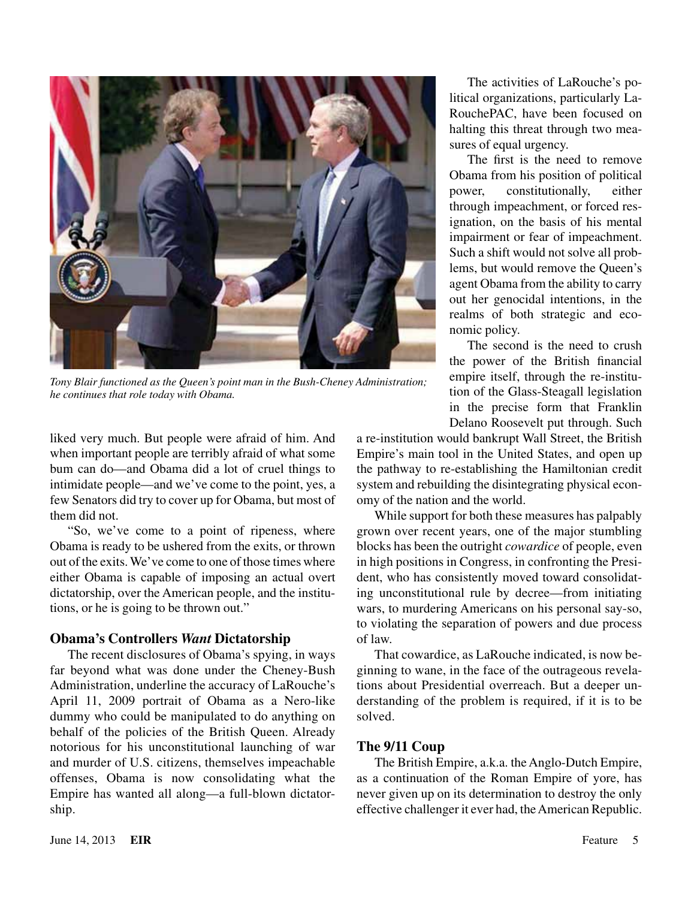

*Tony Blair functioned as the Queen's point man in the Bush-Cheney Administration; he continues that role today with Obama.*

liked very much. But people were afraid of him. And when important people are terribly afraid of what some bum can do—and Obama did a lot of cruel things to intimidate people—and we've come to the point, yes, a few Senators did try to cover up for Obama, but most of them did not.

"So, we've come to a point of ripeness, where Obama is ready to be ushered from the exits, or thrown out of the exits. We've come to one of those times where either Obama is capable of imposing an actual overt dictatorship, over the American people, and the institutions, or he is going to be thrown out."

#### **Obama's Controllers** *Want* **Dictatorship**

The recent disclosures of Obama's spying, in ways far beyond what was done under the Cheney-Bush Administration, underline the accuracy of LaRouche's April 11, 2009 portrait of Obama as a Nero-like dummy who could be manipulated to do anything on behalf of the policies of the British Queen. Already notorious for his unconstitutional launching of war and murder of U.S. citizens, themselves impeachable offenses, Obama is now consolidating what the Empire has wanted all along—a full-blown dictatorship.

The activities of LaRouche's political organizations, particularly La-RouchePAC, have been focused on halting this threat through two measures of equal urgency.

The first is the need to remove Obama from his position of political power, constitutionally, either through impeachment, or forced resignation, on the basis of his mental impairment or fear of impeachment. Such a shift would not solve all problems, but would remove the Queen's agent Obama from the ability to carry out her genocidal intentions, in the realms of both strategic and economic policy.

The second is the need to crush the power of the British financial empire itself, through the re-institution of the Glass-Steagall legislation in the precise form that Franklin Delano Roosevelt put through. Such

a re-institution would bankrupt Wall Street, the British Empire's main tool in the United States, and open up the pathway to re-establishing the Hamiltonian credit system and rebuilding the disintegrating physical economy of the nation and the world.

While support for both these measures has palpably grown over recent years, one of the major stumbling blocks has been the outright *cowardice* of people, even in high positions in Congress, in confronting the President, who has consistently moved toward consolidating unconstitutional rule by decree—from initiating wars, to murdering Americans on his personal say-so, to violating the separation of powers and due process of law.

That cowardice, as LaRouche indicated, is now beginning to wane, in the face of the outrageous revelations about Presidential overreach. But a deeper understanding of the problem is required, if it is to be solved.

#### **The 9/11 Coup**

The British Empire, a.k.a. the Anglo-Dutch Empire, as a continuation of the Roman Empire of yore, has never given up on its determination to destroy the only effective challenger it ever had, the American Republic.